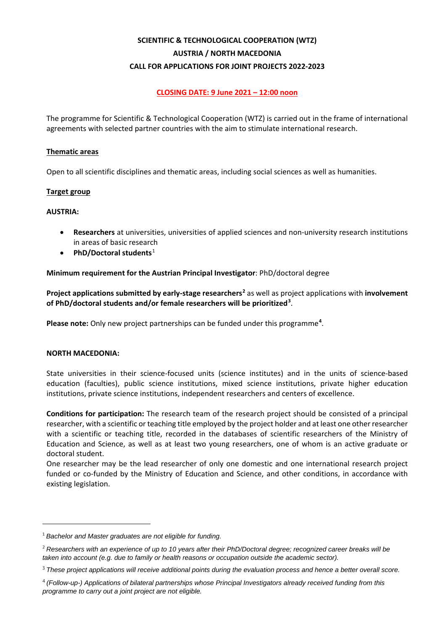# **SCIENTIFIC & TECHNOLOGICAL COOPERATION (WTZ) AUSTRIA / NORTH MACEDONIA CALL FOR APPLICATIONS FOR JOINT PROJECTS 2022-2023**

# **CLOSING DATE: 9 June 2021 – 12:00 noon**

The programme for Scientific & Technological Cooperation (WTZ) is carried out in the frame of international agreements with selected partner countries with the aim to stimulate international research.

#### **Thematic areas**

Open to all scientific disciplines and thematic areas, including social sciences as well as humanities.

# **Target group**

# **AUSTRIA:**

- **Researchers** at universities, universities of applied sciences and non-university research institutions in areas of basic research
- **PhD/Doctoral students**[1](#page-0-0)

# **Minimum requirement for the Austrian Principal Investigator**: PhD/doctoral degree

**Project applications submitted by early-stage researchers[2](#page-0-1)** as well as project applications with **involvement of PhD/doctoral students and/or female researchers will be prioritized[3](#page-0-2)** .

Please note: Only new project partnerships can be funded under this programme<sup>[4](#page-0-3)</sup>.

#### **NORTH MACEDONIA:**

State universities in their science-focused units (science institutes) and in the units of science-based education (faculties), public science institutions, mixed science institutions, private higher education institutions, private science institutions, independent researchers and centers of excellence.

**Conditions for participation:** The research team of the research project should be consisted of a principal researcher, with a scientific or teaching title employed by the project holder and at least one other researcher with a scientific or teaching title, recorded in the databases of scientific researchers of the Ministry of Education and Science, as well as at least two young researchers, one of whom is an active graduate or doctoral student.

One researcher may be the lead researcher of only one domestic and one international research project funded or co-funded by the Ministry of Education and Science, and other conditions, in accordance with existing legislation.

<span id="page-0-0"></span><sup>1</sup> *Bachelor and Master graduates are not eligible for funding.*

<span id="page-0-1"></span><sup>2</sup> *Researchers with an experience of up to 10 years after their PhD/Doctoral degree; recognized career breaks will be taken into account (e.g. due to family or health reasons or occupation outside the academic sector).*

<span id="page-0-2"></span><sup>3</sup> *These project applications will receive additional points during the evaluation process and hence a better overall score.*

<span id="page-0-3"></span><sup>4</sup> *(Follow-up-) Applications of bilateral partnerships whose Principal Investigators already received funding from this programme to carry out a joint project are not eligible.*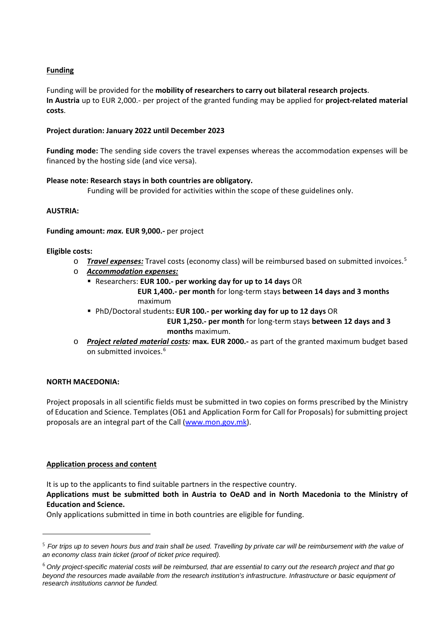# **Funding**

Funding will be provided for the **mobility of researchers to carry out bilateral research projects**. **In Austria** up to EUR 2,000.- per project of the granted funding may be applied for **project-related material costs**.

# **Project duration: January 2022 until December 2023**

**Funding mode:** The sending side covers the travel expenses whereas the accommodation expenses will be financed by the hosting side (and vice versa).

#### **Please note: Research stays in both countries are obligatory.**

Funding will be provided for activities within the scope of these guidelines only.

# **AUSTRIA:**

#### **Funding amount:** *max.* **EUR 9,000.-** per project

#### **Eligible costs:**

o *Travel expenses:* Travel costs (economy class) will be reimbursed based on submitted invoices.[5](#page-1-0)

- o *Accommodation expenses:*
	- Researchers: **EUR 100.- per working day for up to 14 days** OR  **EUR 1,400.- per month** for long-term stays **between 14 days and 3 months** maximum
	- PhD/Doctoral students**: EUR 100.- per working day for up to 12 days** OR  **EUR 1,250.- per month** for long-term stays **between 12 days and 3 months** maximum.
- o *Project related material costs:* **max. EUR 2000.-** as part of the granted maximum budget based on submitted invoices.<sup>[6](#page-1-1)</sup>

# **NORTH MACEDONIA:**

Project proposals in all scientific fields must be submitted in two copies on forms prescribed by the Ministry of Education and Science. Templates (ОБ1 and Application Form for Call for Proposals) for submitting project proposals are an integral part of the Call [\(www.mon.gov.mk\)](file://oeadfile01/icm$/030%20-%20F%C3%96RDERPROGRAMME/29%20-%20WTZ/Nordmazedonien/Projekte%20Nordmazedonien%202022-23/01%20Ausschreibung/www.mon.gov.mk).

# **Application process and content**

It is up to the applicants to find suitable partners in the respective country.

**Applications must be submitted both in Austria to OeAD and in North Macedonia to the Ministry of Education and Science.**

Only applications submitted in time in both countries are eligible for funding.

<span id="page-1-0"></span><sup>5</sup> *For trips up to seven hours bus and train shall be used. Travelling by private car will be reimbursement with the value of an economy class train ticket (proof of ticket price required).*

<span id="page-1-1"></span><sup>6</sup> *Only project-specific material costs will be reimbursed, that are essential to carry out the research project and that go beyond the resources made available from the research institution's infrastructure. Infrastructure or basic equipment of research institutions cannot be funded.*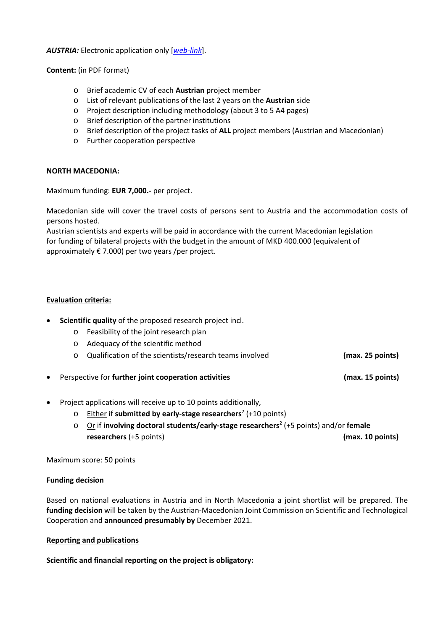*AUSTRIA:* Electronic application only [*[web-link](https://asp.sop.co.at/oead/antrag?call=MK2022)*].

**Content:** (in PDF format)

- o Brief academic CV of each **Austrian** project member
- o List of relevant publications of the last 2 years on the **Austrian** side
- o Project description including methodology (about 3 to 5 A4 pages)
- o Brief description of the partner institutions
- o Brief description of the project tasks of **ALL** project members (Austrian and Macedonian)
- o Further cooperation perspective

#### **NORTH MACEDONIA:**

Maximum funding: **EUR 7,000.-** per project.

Macedonian side will cover the travel costs of persons sent to Austria and the accommodation costs of persons hosted.

Austrian scientists and experts will be paid in accordance with the current Macedonian legislation for funding of bilateral projects with the budget in the amount of MKD 400.000 (equivalent of approximately  $\epsilon$  7.000) per two years /per project.

# **Evaluation criteria:**

- **Scientific quality** of the proposed research project incl.
	- o Feasibility of the joint research plan
	- o Adequacy of the scientific method
	- o Qualification of the scientists/research teams involved **(max. 25 points)**
- Perspective for **further joint cooperation activities (max. 15 points)**
- Project applications will receive up to 10 points additionally,
	- o Either if **submitted by early-stage researchers**<sup>2</sup> (+10 points)
	- o Or if **involving doctoral students/early-stage researchers**<sup>2</sup> (+5 points) and/or **female researchers** (+5 points) **(max. 10 points)**

Maximum score: 50 points

#### **Funding decision**

Based on national evaluations in Austria and in North Macedonia a joint shortlist will be prepared. The **funding decision** will be taken by the Austrian-Macedonian Joint Commission on Scientific and Technological Cooperation and **announced presumably by** December 2021.

#### **Reporting and publications**

**Scientific and financial reporting on the project is obligatory:**